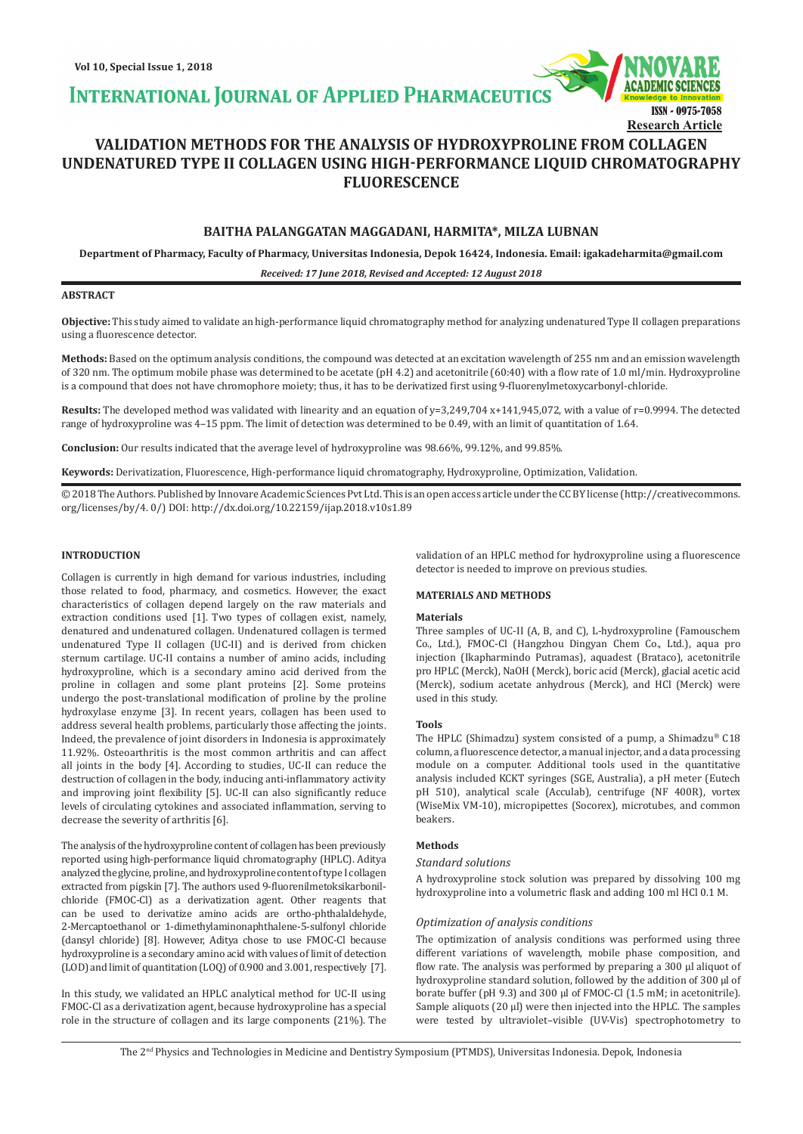**INTERNATIONAL JOURNAL OF APPLIED PHARMACEUTIC** 

# **VALIDATION METHODS FOR THE ANALYSIS OF HYDROXYPROLINE FROM COLLAGEN UNDENATURED TYPE II COLLAGEN USING HIGH-PERFORMANCE LIQUID CHROMATOGRAPHY FLUORESCENCE**

# **BAITHA PALANGGATAN MAGGADANI, HARMITA\*, MILZA LUBNAN**

**Department of Pharmacy, Faculty of Pharmacy, Universitas Indonesia, Depok 16424, Indonesia. Email: igakadeharmita@gmail.com**

*Received: 17 June 2018, Revised and Accepted: 12 August 2018*

### **ABSTRACT**

**Objective:** This study aimed to validate an high-performance liquid chromatography method for analyzing undenatured Type II collagen preparations using a fluorescence detector.

**Methods:** Based on the optimum analysis conditions, the compound was detected at an excitation wavelength of 255 nm and an emission wavelength of 320 nm. The optimum mobile phase was determined to be acetate (pH 4.2) and acetonitrile (60:40) with a flow rate of 1.0 ml/min. Hydroxyproline is a compound that does not have chromophore moiety; thus, it has to be derivatized first using 9-fluorenylmetoxycarbonyl-chloride.

**Results:** The developed method was validated with linearity and an equation of y=3,249,704 x+141,945,072, with a value of r=0.9994. The detected range of hydroxyproline was 4–15 ppm. The limit of detection was determined to be 0.49, with an limit of quantitation of 1.64.

**Conclusion:** Our results indicated that the average level of hydroxyproline was 98.66%, 99.12%, and 99.85%.

**Keywords:** Derivatization, Fluorescence, High-performance liquid chromatography, Hydroxyproline, Optimization, Validation.

© 2018 The Authors. Published by Innovare Academic Sciences Pvt Ltd. This is an open access article under the CC BY license (http://creativecommons. org/licenses/by/4. 0/) DOI: http://dx.doi.org/10.22159/ijap.2018.v10s1.89

# **INTRODUCTION**

Collagen is currently in high demand for various industries, including those related to food, pharmacy, and cosmetics. However, the exact characteristics of collagen depend largely on the raw materials and extraction conditions used [1]. Two types of collagen exist, namely, denatured and undenatured collagen. Undenatured collagen is termed undenatured Type II collagen (UC-II) and is derived from chicken sternum cartilage. UC-II contains a number of amino acids, including hydroxyproline, which is a secondary amino acid derived from the proline in collagen and some plant proteins [2]. Some proteins undergo the post-translational modification of proline by the proline hydroxylase enzyme [3]. In recent years, collagen has been used to address several health problems, particularly those affecting the joints. Indeed, the prevalence of joint disorders in Indonesia is approximately 11.92%. Osteoarthritis is the most common arthritis and can affect all joints in the body [4]. According to studies, UC-II can reduce the destruction of collagen in the body, inducing anti-inflammatory activity and improving joint flexibility [5]. UC-II can also significantly reduce levels of circulating cytokines and associated inflammation, serving to decrease the severity of arthritis [6].

The analysis of the hydroxyproline content of collagen has been previously reported using high-performance liquid chromatography (HPLC). Aditya analyzed the glycine, proline, and hydroxyproline content of type I collagen extracted from pigskin [7]. The authors used 9-fluorenilmetoksikarbonilchloride (FMOC-Cl) as a derivatization agent. Other reagents that can be used to derivatize amino acids are ortho-phthalaldehyde, 2-Mercaptoethanol or 1-dimethylaminonaphthalene-5-sulfonyl chloride (dansyl chloride) [8]. However, Aditya chose to use FMOC-Cl because hydroxyproline is a secondary amino acid with values of limit of detection (LOD) and limit of quantitation (LOQ) of 0.900 and 3.001, respectively [7].

In this study, we validated an HPLC analytical method for UC-II using FMOC-Cl as a derivatization agent, because hydroxyproline has a special role in the structure of collagen and its large components (21%). The

validation of an HPLC method for hydroxyproline using a fluorescence detector is needed to improve on previous studies.

ISSN - 0975-7058

**Research Article**

# **MATERIALS AND METHODS**

#### **Materials**

Three samples of UC-II (A, B, and C), L-hydroxyproline (Famouschem Co., Ltd.), FMOC-Cl (Hangzhou Dingyan Chem Co., Ltd.), aqua pro injection (Ikapharmindo Putramas), aquadest (Brataco), acetonitrile pro HPLC (Merck), NaOH (Merck), boric acid (Merck), glacial acetic acid (Merck), sodium acetate anhydrous (Merck), and HCl (Merck) were used in this study.

#### **Tools**

The HPLC (Shimadzu) system consisted of a pump, a Shimadzu® C18 column, a fluorescence detector, a manual injector, and a data processing module on a computer. Additional tools used in the quantitative analysis included KCKT syringes (SGE, Australia), a pH meter (Eutech pH 510), analytical scale (Acculab), centrifuge (NF 400R), vortex (WiseMix VM-10), micropipettes (Socorex), microtubes, and common beakers.

# **Methods**

# *Standard solutions*

A hydroxyproline stock solution was prepared by dissolving 100 mg hydroxyproline into a volumetric flask and adding 100 ml HCl 0.1 M.

# *Optimization of analysis conditions*

The optimization of analysis conditions was performed using three different variations of wavelength, mobile phase composition, and flow rate. The analysis was performed by preparing a 300 µl aliquot of hydroxyproline standard solution, followed by the addition of 300 µl of borate buffer (pH 9.3) and 300 µl of FMOC-Cl (1.5 mM; in acetonitrile). Sample aliquots (20 µl) were then injected into the HPLC. The samples were tested by ultraviolet–visible (UV-Vis) spectrophotometry to

The 2nd Physics and Technologies in Medicine and Dentistry Symposium (PTMDS), Universitas Indonesia. Depok, Indonesia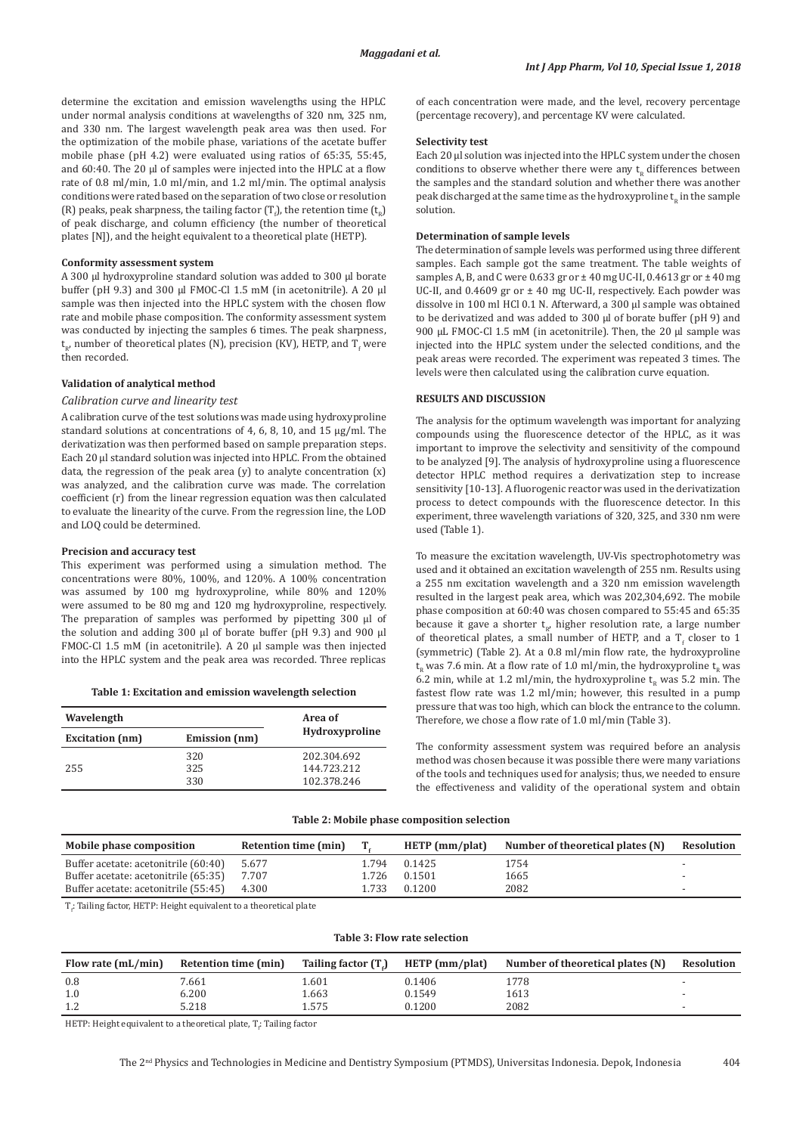determine the excitation and emission wavelengths using the HPLC under normal analysis conditions at wavelengths of 320 nm, 325 nm, and 330 nm. The largest wavelength peak area was then used. For the optimization of the mobile phase, variations of the acetate buffer mobile phase (pH 4.2) were evaluated using ratios of 65:35, 55:45, and 60:40. The 20 µl of samples were injected into the HPLC at a flow rate of 0.8 ml/min, 1.0 ml/min, and 1.2 ml/min. The optimal analysis conditions were rated based on the separation of two close or resolution (R) peaks, peak sharpness, the tailing factor  $(\Gamma_f)$ , the retention time  $(\mathsf{t_R})$ of peak discharge, and column efficiency (the number of theoretical plates [N]), and the height equivalent to a theoretical plate (HETP).

#### **Conformity assessment system**

A 300 µl hydroxyproline standard solution was added to 300 µl borate buffer (pH 9.3) and 300 µl FMOC-Cl 1.5 mM (in acetonitrile). A 20 µl sample was then injected into the HPLC system with the chosen flow rate and mobile phase composition. The conformity assessment system was conducted by injecting the samples 6 times. The peak sharpness,  ${\sf t}_{\sf R}$ , number of theoretical plates (N), precision (KV), HETP, and T<sub>f</sub> were then recorded.

#### **Validation of analytical method**

#### *Calibration curve and linearity test*

A calibration curve of the test solutions was made using hydroxyproline standard solutions at concentrations of 4, 6, 8, 10, and 15 µg/ml. The derivatization was then performed based on sample preparation steps. Each 20 µl standard solution was injected into HPLC. From the obtained data, the regression of the peak area  $(y)$  to analyte concentration  $(x)$ was analyzed, and the calibration curve was made. The correlation coefficient (r) from the linear regression equation was then calculated to evaluate the linearity of the curve. From the regression line, the LOD and LOQ could be determined.

#### **Precision and accuracy test**

This experiment was performed using a simulation method. The concentrations were 80%, 100%, and 120%. A 100% concentration was assumed by 100 mg hydroxyproline, while 80% and 120% were assumed to be 80 mg and 120 mg hydroxyproline, respectively. The preparation of samples was performed by pipetting 300 µl of the solution and adding 300 µl of borate buffer (pH 9.3) and 900 µl FMOC-Cl 1.5 mM (in acetonitrile). A 20 µl sample was then injected into the HPLC system and the peak area was recorded. Three replicas

|  |  |  |  | Table 1: Excitation and emission wavelength selection |  |
|--|--|--|--|-------------------------------------------------------|--|
|--|--|--|--|-------------------------------------------------------|--|

| Wavelength             |               | Area of        |  |
|------------------------|---------------|----------------|--|
| <b>Excitation</b> (nm) | Emission (nm) | Hydroxyproline |  |
|                        | 320           | 202.304.692    |  |
| 255                    | 325           | 144.723.212    |  |
|                        | 330           | 102.378.246    |  |

of each concentration were made, and the level, recovery percentage (percentage recovery), and percentage KV were calculated.

#### **Selectivity test**

Each 20 µl solution was injected into the HPLC system under the chosen conditions to observe whether there were any  $t<sub>p</sub>$  differences between the samples and the standard solution and whether there was another peak discharged at the same time as the hydroxyproline  $t<sub>e</sub>$  in the sample solution.

#### **Determination of sample levels**

The determination of sample levels was performed using three different samples. Each sample got the same treatment. The table weights of samples A, B, and C were 0.633 gr or  $\pm$  40 mg UC-II, 0.4613 gr or  $\pm$  40 mg UC-II, and  $0.4609$  gr or  $\pm$  40 mg UC-II, respectively. Each powder was dissolve in 100 ml HCl 0.1 N. Afterward, a 300 µl sample was obtained to be derivatized and was added to 300 µl of borate buffer (pH 9) and 900 µL FMOC-Cl 1.5 mM (in acetonitrile). Then, the 20 µl sample was injected into the HPLC system under the selected conditions, and the peak areas were recorded. The experiment was repeated 3 times. The levels were then calculated using the calibration curve equation.

# **RESULTS AND DISCUSSION**

The analysis for the optimum wavelength was important for analyzing compounds using the fluorescence detector of the HPLC, as it was important to improve the selectivity and sensitivity of the compound to be analyzed [9]. The analysis of hydroxyproline using a fluorescence detector HPLC method requires a derivatization step to increase sensitivity [10-13]. A fluorogenic reactor was used in the derivatization process to detect compounds with the fluorescence detector. In this experiment, three wavelength variations of 320, 325, and 330 nm were used (Table 1).

To measure the excitation wavelength, UV-Vis spectrophotometry was used and it obtained an excitation wavelength of 255 nm. Results using a 255 nm excitation wavelength and a 320 nm emission wavelength resulted in the largest peak area, which was 202,304,692. The mobile phase composition at 60:40 was chosen compared to 55:45 and 65:35 because it gave a shorter  $t_{R}$ , higher resolution rate, a large number of theoretical plates, a small number of HETP, and a  $T_f$  closer to  $1$ (symmetric) (Table 2). At a 0.8 ml/min flow rate, the hydroxyproline  $t<sub>n</sub>$  was 7.6 min. At a flow rate of 1.0 ml/min, the hydroxyproline  $t<sub>n</sub>$  was 6.2 min, while at 1.2 ml/min, the hydroxyproline  $t<sub>p</sub>$  was 5.2 min. The fastest flow rate was 1.2 ml/min; however, this resulted in a pump pressure that was too high, which can block the entrance to the column. Therefore, we chose a flow rate of 1.0 ml/min (Table 3).

The conformity assessment system was required before an analysis method was chosen because it was possible there were many variations of the tools and techniques used for analysis; thus, we needed to ensure the effectiveness and validity of the operational system and obtain

#### **Table 2: Mobile phase composition selection**

| Mobile phase composition             | Retention time (min) |       | HETP $(mm/plat)$ | Number of theoretical plates (N) | Resolution |
|--------------------------------------|----------------------|-------|------------------|----------------------------------|------------|
| Buffer acetate: acetonitrile (60:40) | 5.677                | 1.794 | 0.1425           | 1754                             |            |
| Buffer acetate: acetonitrile (65:35) | 7.707                | 1.726 | 0.1501           | 1665                             |            |
| Buffer acetate: acetonitrile (55:45) | 4.300                | 1.733 | 0.1200           | 2082                             |            |

 $T_f$ : Tailing factor, HETP: Height equivalent to a theoretical plate

| Flow rate (mL/min) | Retention time (min) | Tailing factor (T.) | HETP (mm/plat) | Number of theoretical plates (N) | Resolution |
|--------------------|----------------------|---------------------|----------------|----------------------------------|------------|
| 0.8                | 7.661                | 601                 | 0.1406         | 1778                             |            |
| 1.0                | 0.200                | L.663               | 0.1549         | 1613                             |            |
| 1.2                | 5.218                | 1.575               | 0.1200         | 2082                             |            |

**Table 3: Flow rate selection**

HETP: Height equivalent to a theoretical plate,  $T_{\rm f}$  Tailing factor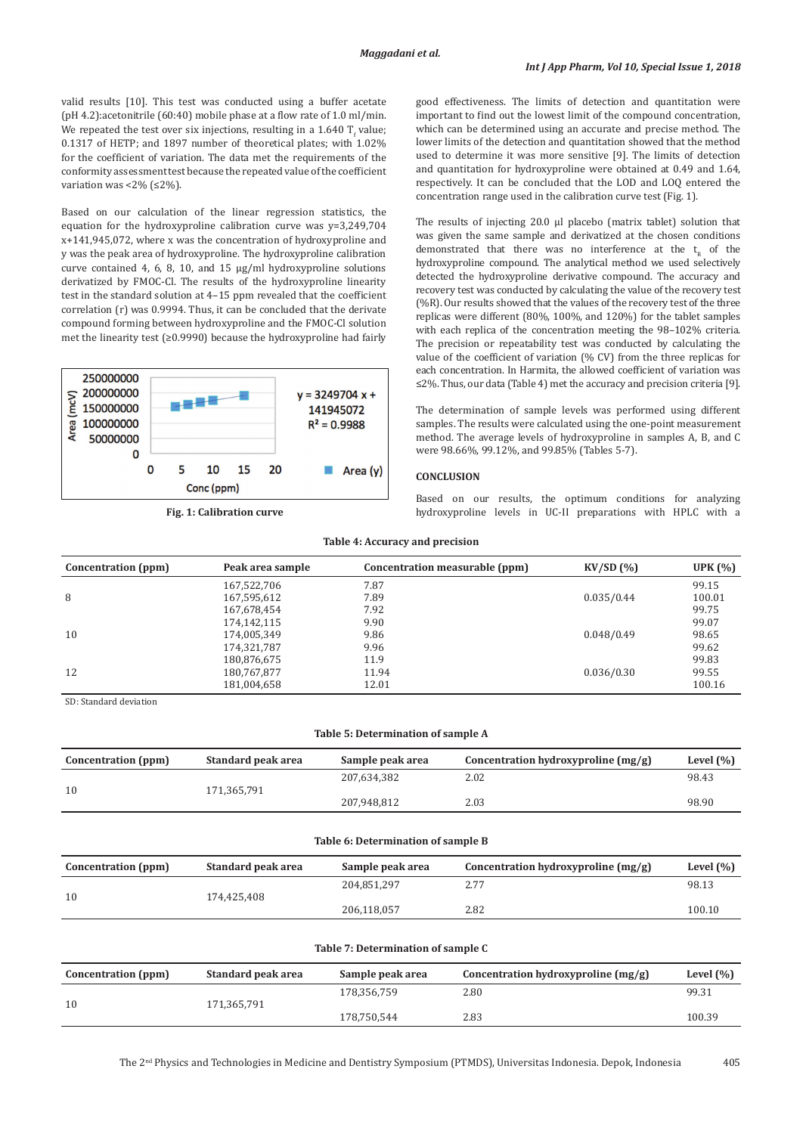valid results [10]. This test was conducted using a buffer acetate (pH 4.2):acetonitrile (60:40) mobile phase at a flow rate of 1.0 ml/min. We repeated the test over six injections, resulting in a  $1.640$  T<sub>f</sub> value; 0.1317 of HETP; and 1897 number of theoretical plates; with 1.02% for the coefficient of variation. The data met the requirements of the conformity assessment test because the repeated value of the coefficient variation was <2% ( $\leq$ 2%).

Based on our calculation of the linear regression statistics, the equation for the hydroxyproline calibration curve was y=3,249,704 x+141,945,072, where x was the concentration of hydroxyproline and y was the peak area of hydroxyproline. The hydroxyproline calibration curve contained 4, 6, 8, 10, and 15 µg/ml hydroxyproline solutions derivatized by FMOC-Cl. The results of the hydroxyproline linearity test in the standard solution at 4–15 ppm revealed that the coefficient correlation (r) was 0.9994. Thus, it can be concluded that the derivate compound forming between hydroxyproline and the FMOC-Cl solution met the linearity test (≥0.9990) because the hydroxyproline had fairly



good effectiveness. The limits of detection and quantitation were important to find out the lowest limit of the compound concentration, which can be determined using an accurate and precise method. The lower limits of the detection and quantitation showed that the method used to determine it was more sensitive [9]. The limits of detection and quantitation for hydroxyproline were obtained at 0.49 and 1.64, respectively. It can be concluded that the LOD and LOQ entered the concentration range used in the calibration curve test (Fig. 1).

The results of injecting 20.0 µl placebo (matrix tablet) solution that was given the same sample and derivatized at the chosen conditions demonstrated that there was no interference at the  $t_{n}$  of the hydroxyproline compound. The analytical method we used selectively detected the hydroxyproline derivative compound. The accuracy and recovery test was conducted by calculating the value of the recovery test (%R). Our results showed that the values of the recovery test of the three replicas were different (80%, 100%, and 120%) for the tablet samples with each replica of the concentration meeting the 98–102% criteria. The precision or repeatability test was conducted by calculating the value of the coefficient of variation (% CV) from the three replicas for each concentration. In Harmita, the allowed coefficient of variation was ≤2%. Thus, our data (Table 4) met the accuracy and precision criteria [9].

The determination of sample levels was performed using different samples. The results were calculated using the one-point measurement method. The average levels of hydroxyproline in samples A, B, and C were 98.66%, 99.12%, and 99.85% (Tables 5-7).

### **CONCLUSION**

Based on our results, the optimum conditions for analyzing **Fig. 1: Calibration curve** hydroxyproline levels in UC-II preparations with HPLC with a

#### **Table 4: Accuracy and precision**

| Concentration (ppm) | Peak area sample | Concentration measurable (ppm) | KV/SD(%)   | UPK $(%)$ |
|---------------------|------------------|--------------------------------|------------|-----------|
|                     | 167,522,706      | 7.87                           |            | 99.15     |
| 8                   | 167,595,612      | 7.89                           | 0.035/0.44 | 100.01    |
|                     | 167,678,454      | 7.92                           |            | 99.75     |
|                     | 174,142,115      | 9.90                           |            | 99.07     |
| 10                  | 174,005,349      | 9.86                           | 0.048/0.49 | 98.65     |
|                     | 174,321,787      | 9.96                           |            | 99.62     |
|                     | 180,876,675      | 11.9                           |            | 99.83     |
| 12                  | 180,767,877      | 11.94                          | 0.036/0.30 | 99.55     |
|                     | 181,004,658      | 12.01                          |            | 100.16    |

SD: Standard deviation

#### **Table 5: Determination of sample A**

| Concentration (ppm) | Standard peak area | Sample peak area | Concentration hydroxyproline $(mg/g)$ | Level $(\% )$ |
|---------------------|--------------------|------------------|---------------------------------------|---------------|
| 10                  | 171.365.791        | 207.634.382      | 2.02                                  | 98.43         |
|                     |                    | 207.948.812      | 2.03                                  | 98.90         |

| Table 6: Determination of sample B |
|------------------------------------|
|------------------------------------|

| Concentration (ppm) | Standard peak area | Sample peak area | Concentration hydroxyproline $(mg/g)$ | Level $(\% )$ |
|---------------------|--------------------|------------------|---------------------------------------|---------------|
| 10                  | 174.425.408        | 204.851.297      |                                       | 98.13         |
|                     |                    | 206.118.057      | 2.82                                  | 100.10        |

# **Table 7: Determination of sample C**

| Concentration (ppm) | Standard peak area | Sample peak area | Concentration hydroxyproline $(mg/g)$ | Level $(\% )$ |
|---------------------|--------------------|------------------|---------------------------------------|---------------|
| 10                  |                    | 178.356.759      | 2.80                                  | 99.31         |
|                     | 171.365.791        | 178.750.544      | 2.83                                  | 100.39        |